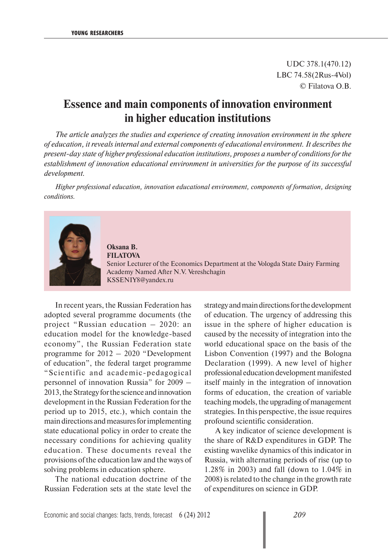UDC 378.1(470.12) LBC 74.58(2Rus-4Vol) © Filatova O.B.

## **Essence and main components of innovation environment in higher education institutions**

*The article analyzes the studies and experience of creating innovation environment in the sphere of education, it reveals internal and external components of educational environment. It describes the present-day state of higher professional education institutions, proposes a number of conditions for the establishment of innovation educational environment in universities for the purpose of its successful development.*

*Higher professional education, innovation educational environment, components of formation, designing conditions.*



**Oksana B. FILATOVA** Senior Lecturer of the Economics Department at the Vologda State Dairy Farming Academy Named After N.V. Vereshchagin KSSENIY8@yandex.ru

In recent years, the Russian Federation has adopted several programme documents (the project "Russian education – 2020: an education model for the knowledge-based economy", the Russian Federation state programme for 2012 – 2020 "Development of education", the federal target programme "Scientific and academic-pedagogical personnel of innovation Russia" for 2009 – 2013, the Strategy for the science and innovation development in the Russian Federation for the period up to 2015, etc.), which contain the main directions and measures for implementing state educational policy in order to create the necessary conditions for achieving quality education. These documents reveal the provisions of the education law and the ways of solving problems in education sphere.

The national education doctrine of the Russian Federation sets at the state level the strategy and main directions for the development of education. The urgency of addressing this issue in the sphere of higher education is caused by the necessity of integration into the world educational space on the basis of the Lisbon Convention (1997) and the Bologna Declaration (1999). A new level of higher professional education development manifested itself mainly in the integration of innovation forms of education, the creation of variable teaching models, the upgrading of management strategies. In this perspective, the issue requires profound scientific consideration.

A key indicator of science development is the share of R&D expenditures in GDP. The existing wavelike dynamics of this indicator in Russia, with alternating periods of rise (up to 1.28% in 2003) and fall (down to 1.04% in 2008) is related to the change in the growth rate of expenditures on science in GDP.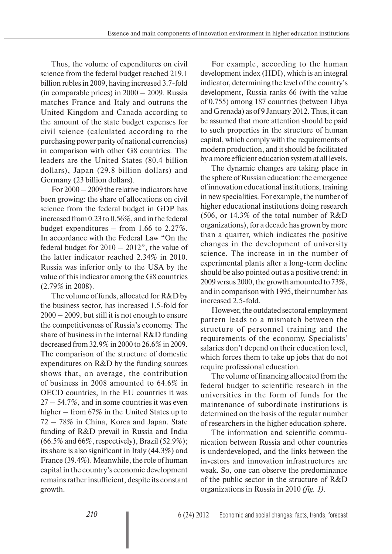Thus, the volume of expenditures on civil science from the federal budget reached 219.1 billion rubles in 2009, having increased 3.7-fold (in comparable prices) in 2000 – 2009. Russia matches France and Italy and outruns the United Kingdom and Canada according to the amount of the state budget expenses for civil science (calculated according to the purchasing power parity of national currencies) in comparison with other G8 countries. The leaders are the United States (80.4 billion dollars), Japan (29.8 billion dollars) and Germany (23 billion dollars).

For 2000 – 2009 the relative indicators have been growing: the share of allocations on civil science from the federal budget in GDP has increased from 0.23 to 0.56%, and in the federal budget expenditures – from 1.66 to 2.27%. In accordance with the Federal Law "On the federal budget for  $2010 - 2012$ ", the value of the latter indicator reached 2.34% in 2010. Russia was inferior only to the USA by the value of this indicator among the G8 countries (2.79% in 2008).

The volume of funds, allocated for R&D by the business sector, has increased 1.5-fold for 2000 – 2009, but still it is not enough to ensure the competitiveness of Russia's economy. The share of business in the internal R&D funding decreased from 32.9% in 2000 to 26.6% in 2009. The comparison of the structure of domestic expenditures on R&D by the funding sources shows that, on average, the contribution of business in 2008 amounted to 64.6% in OECD countries, in the EU countries it was 27 – 54.7%, and in some countries it was even higher – from 67% in the United States up to 72 – 78% in China, Korea and Japan. State funding of R&D prevail in Russia and India (66.5% and 66%, respectively), Brazil (52.9%); its share is also significant in Italy (44.3%) and France (39.4%). Meanwhile, the role of human capital in the country's economic development remains rather insufficient, despite its constant growth.

For example, according to the human development index (HDI), which is an integral indicator, determining the level of the country's development, Russia ranks 66 (with the value of 0.755) among 187 countries (between Libya and Grenada) as of 9 January 2012. Thus, it can be assumed that more attention should be paid to such properties in the structure of human capital, which comply with the requirements of modern production, and it should be facilitated by a more efficient education system at all levels.

The dynamic changes are taking place in the sphere of Russian education: the emergence of innovation educational institutions, training in new specialities. For example, the number of higher educational institutions doing research (506, or 14.3% of the total number of R&D organizations), for a decade has grown by more than a quarter, which indicates the positive changes in the development of university science. The increase in in the number of experimental plants after a long-term decline should be also pointed out as a positive trend: in 2009 versus 2000, the growth amounted to 73%, and in comparison with 1995, their number has increased 2.5-fold.

However, the outdated sectoral employment pattern leads to a mismatch between the structure of personnel training and the requirements of the economy. Specialists' salaries don't depend on their education level, which forces them to take up jobs that do not require professional education.

The volume of financing allocated from the federal budget to scientific research in the universities in the form of funds for the maintenance of subordinate institutions is determined on the basis of the regular number of researchers in the higher education sphere.

The information and scientific communication between Russia and other countries is underdeveloped, and the links between the investors and innovation infrastructures are weak. So, one can observe the predominance of the public sector in the structure of R&D organizations in Russia in 2010 *(fig. 1)*.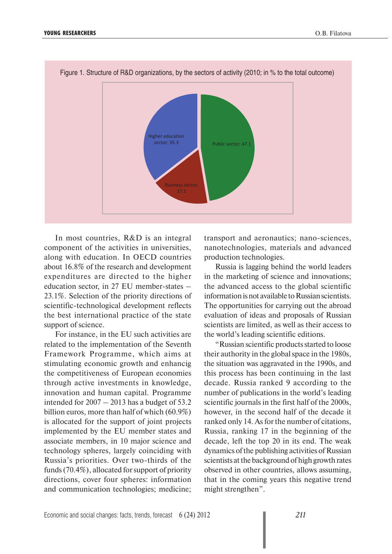

In most countries, R&D is an integral component of the activities in universities, along with education. In OECD countries about 16.8% of the research and development expenditures are directed to the higher education sector, in 27 EU member-states – 23.1%. Selection of the priority directions of scientific-technological development reflects the best international practice of the state support of science.

For instance, in the EU such activities are related to the implementation of the Seventh Framework Programme, which aims at stimulating economic growth and enhancig the competitiveness of European economies through active investments in knowledge, innovation and human capital. Programme intended for  $2007 - 2013$  has a budget of 53.2 billion euros, more than half of which (60.9%) is allocated for the support of joint projects implemented by the EU member states and associate members, in 10 major science and technology spheres, largely coinciding with Russia's priorities. Over two-thirds of the funds (70.4%), allocated for support of priority directions, cover four spheres: information and communication technologies; medicine; transport and aeronautics; nano-sciences, nanotechnologies, materials and advanced production technologies.

Russia is lagging behind the world leaders in the marketing of science and innovations; the advanced access to the global scientific information is not available to Russian scientists. The opportunities for carrying out the abroad evaluation of ideas and proposals of Russian scientists are limited, as well as their access to the world's leading scientific editions.

"Russian scientific products started to loose their authority in the global space in the 1980s, the situation was aggravated in the 1990s, and this process has been continuing in the last decade. Russia ranked 9 according to the number of publications in the world's leading scientific journals in the first half of the 2000s, however, in the second half of the decade it ranked only 14. As for the number of citations, Russia, ranking 17 in the beginning of the decade, left the top 20 in its end. The weak dynamics of the publishing activities of Russian scientists at the background of high growth rates observed in other countries, allows assuming, that in the coming years this negative trend might strengthen".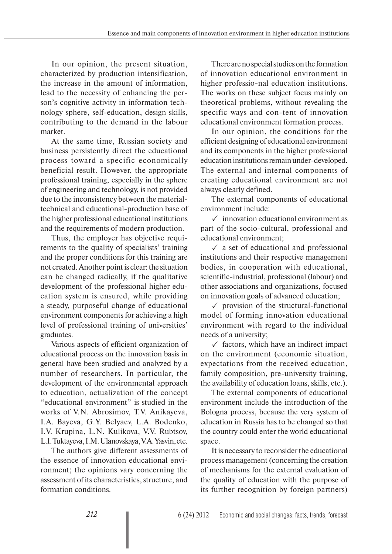In our opinion, the present situation, characterized by production intensification, the increase in the amount of information, lead to the necessity of enhancing the person's cognitive activity in information technology sphere, self-education, design skills, contributing to the demand in the labour market.

At the same time, Russian society and business persistently direct the educational process toward a specific economically beneficial result. However, the appropriate professional training, especially in the sphere of engineering and technology, is not provided due to the inconsistency between the materialtechnical and educational-production base of the higher professional educational institutions and the requirements of modern production.

Thus, the employer has objective requirements to the quality of specialists' training and the proper conditions for this training are not created. Another point is clear: the situation can be changed radically, if the qualitative development of the professional higher education system is ensured, while providing a steady, purposeful change of educational environment components for achieving a high level of professional training of universities' graduates.

Various aspects of efficient organization of educational process on the innovation basis in general have been studied and analyzed by a number of researchers. In particular, the development of the environmental approach to education, actualization of the concept "educational environment" is studied in the works of V.N. Abrosimov, T.V. Anikayeva, I.A. Bayeva, G.Y. Belyaev, L.A. Bodenko, I.V. Krupina, L.N. Kulikova, V.V. Rubtsov, L.I. Tuktayeva, I.M. Ulanovskaya, V.A. Yasvin, etc.

The authors give different assessments of the essence of innovation educational environment; the opinions vary concerning the assessment of its characteristics, structure, and formation conditions.

There are no special studies on the formation of innovation educational environment in higher professio-nal education institutions. The works on these subject focus mainly on theoretical problems, without revealing the specific ways and con-tent of innovation educational environment formation process.

In our opinion, the conditions for the efficient designing of educational environment and its components in the higher professional education institutions remain under-developed. The external and internal components of creating educational environment are not always clearly defined.

The external components of educational environment include:

 $\checkmark$  innovation educational environment as part of the socio-cultural, professional and educational environment;

 $\checkmark$  a set of educational and professional institutions and their respective management bodies, in cooperation with educational, scientific-industrial, professional (labour) and other associations and organizations, focused on innovation goals of advanced education;

 $\checkmark$  provision of the structural-functional model of forming innovation educational environment with regard to the individual needs of a university;

 $\checkmark$  factors, which have an indirect impact on the environment (economic situation, expectations from the received education, family composition, pre-university training, the availability of education loans, skills, etc.).

The external components of educational environment include the introduction of the Bologna process, because the very system of education in Russia has to be changed so that the country could enter the world educational space.

It is necessary to reconsider the educational process management (concerning the creation of mechanisms for the external evaluation of the quality of education with the purpose of its further recognition by foreign partners)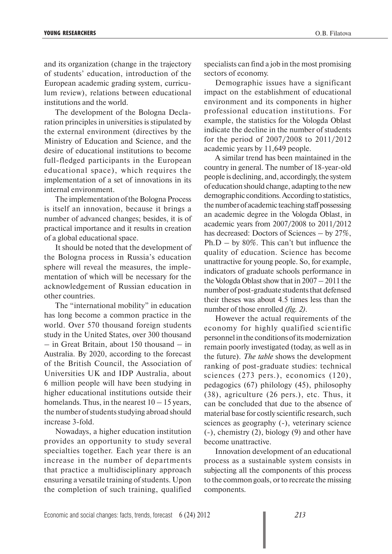and its organization (change in the trajectory of students' education, introduction of the European academic grading system, curriculum review), relations between educational institutions and the world.

The development of the Bologna Declaration principles in universities is stipulated by the external environment (directives by the Ministry of Education and Science, and the desire of educational institutions to become full-fledged participants in the European educational space), which requires the implementation of a set of innovations in its internal environment.

The implementation of the Bologna Process is itself an innovation, because it brings a number of advanced changes; besides, it is of practical importance and it results in creation of a global educational space.

It should be noted that the development of the Bologna process in Russia's education sphere will reveal the measures, the implementation of which will be necessary for the acknowledgement of Russian education in other countries.

The "international mobility" in education has long become a common practice in the world. Over 570 thousand foreign students study in the United States, over 300 thousand – in Great Britain, about 150 thousand – in Australia. By 2020, according to the forecast of the British Council, the Association of Universities UK and IDP Australia, about 6 million people will have been studying in higher educational institutions outside their homelands. Thus, in the nearest  $10 - 15$  years, the number of students studying abroad should increase 3-fold.

Nowadays, a higher education institution provides an opportunity to study several specialties together. Each year there is an increase in the number of departments that practice a multidisciplinary approach ensuring a versatile training of students. Upon the completion of such training, qualified specialists can find a job in the most promising sectors of economy.

Demographic issues have a significant impact on the establishment of educational environment and its components in higher professional education institutions. For example, the statistics for the Vologda Oblast indicate the decline in the number of students for the period of 2007/2008 to 2011/2012 academic years by 11,649 people.

A similar trend has been maintained in the country in general. The number of 18-year-old people is declining, and, accordingly, the system of education should change, adapting to the new demographic conditions. According to statistics, the number of academic teaching staff possessing an academic degree in the Vologda Oblast, in academic years from 2007/2008 to 2011/2012 has decreased: Doctors of Sciences – by 27%, Ph.D – by  $80\%$ . This can't but influence the quality of education. Science has become unattractive for young people. So, for example, indicators of graduate schools performance in the Vologda Oblast show that in 2007 – 2011 the number of post-graduate students that defensed their theses was about 4.5 times less than the number of those enrolled *(fig. 2)*.

However the actual requirements of the economy for highly qualified scientific personnel in the conditions of its modernization remain poorly investigated (today, as well as in the future). *The table* shows the development ranking of post-graduate studies: technical sciences (273 pers.), economics (120), pedagogics (67) philology (45), philosophy (38), agriculture (26 pers.), etc. Thus, it can be concluded that due to the absence of material base for costly scientific research, such sciences as geography (-), veterinary science (-), chemistry (2), biology (9) and other have become unattractive.

Innovation development of an educational process as a sustainable system consists in subjecting all the components of this process to the common goals, or to recreate the missing components.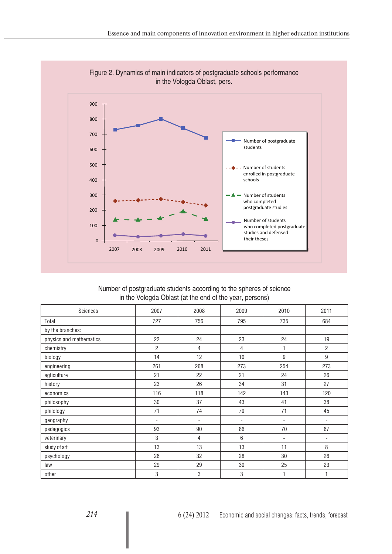

Figure 2. Dynamics of main indicators of postgraduate schools performance

| Number of postgraduate students according to the spheres of science |  |
|---------------------------------------------------------------------|--|
| in the Vologda Oblast (at the end of the year, persons)             |  |

| Sciences                | 2007                     | 2008                     | 2009           | 2010                         | 2011           |
|-------------------------|--------------------------|--------------------------|----------------|------------------------------|----------------|
| Total                   | 727                      | 756                      | 795            | 735                          | 684            |
| by the branches:        |                          |                          |                |                              |                |
| physics and mathematics | 22                       | 24                       | 23             | 24                           | 19             |
| chemistry               | 2                        | 4                        | 4              | 1                            | $\overline{2}$ |
| biology                 | 14                       | 12                       | 10             | 9                            | 9              |
| engineering             | 261                      | 268                      | 273            | 254                          | 273            |
| agticulture             | 21                       | 22                       | 21             | 24                           | 26             |
| history                 | 23                       | 26                       | 34             | 31                           | 27             |
| economics               | 116                      | 118                      | 142            | 143                          | 120            |
| philosophy              | 30                       | 37                       | 43             | 41                           | 38             |
| philology               | 71                       | 74                       | 79             | 71                           | 45             |
| geography               | $\overline{\phantom{a}}$ | $\overline{\phantom{m}}$ | $\overline{a}$ | $\overline{\phantom{0}}$     | ٠              |
| pedagogics              | 93                       | 90                       | 86             | 70                           | 67             |
| veterinary              | 3                        | 4                        | 6              | $\qquad \qquad \blacksquare$ | $\overline{a}$ |
| study of art            | 13                       | 13                       | 13             | 11                           | 8              |
| psychology              | 26                       | 32                       | 28             | 30                           | 26             |
| law                     | 29                       | 29                       | 30             | 25                           | 23             |
| other                   | 3                        | 3                        | 3              |                              | 1              |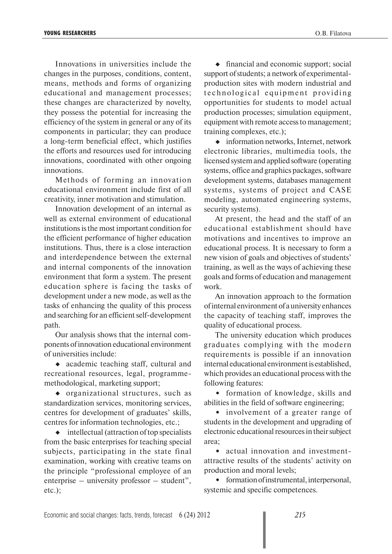Innovations in universities include the changes in the purposes, conditions, content, means, methods and forms of organizing educational and management processes; these changes are characterized by novelty, they possess the potential for increasing the efficiency of the system in general or any of its components in particular; they can produce a long-term beneficial effect, which justifies the efforts and resources used for introducing innovations, coordinated with other ongoing innovations.

Methods of forming an innovation educational environment include first of all creativity, inner motivation and stimulation.

Innovation development of an internal as well as external environment of educational institutions is the most important condition for the efficient performance of higher education institutions. Thus, there is a close interaction and interdependence between the external and internal components of the innovation environment that form a system. The present education sphere is facing the tasks of development under a new mode, as well as the tasks of enhancing the quality of this process and searching for an efficient self-development path.

Our analysis shows that the internal components of innovation educational environment of universities include:

• academic teaching staff, cultural and recreational resources, legal, programmemethodological, marketing support;

organizational structures, such as standardization services, monitoring services, centres for development of graduates' skills, centres for information technologies, etc.;

 $\bullet$  intellectual (attraction of top specialists from the basic enterprises for teaching special subjects, participating in the state final examination, working with creative teams on the principle "professional employee of an enterprise – university professor – student", etc.);

 $\bullet$  financial and economic support; social support of students; a network of experimentalproduction sites with modern industrial and te chnological equipment providing opportunities for students to model actual production processes; simulation equipment, equipment with remote access to management; training complexes, etc.);

information networks, Internet, network electronic libraries, multimedia tools, the licensed system and applied software (operating systems, office and graphics packages, software development systems, databases management systems, systems of project and CASE modeling, automated engineering systems, security systems).

At present, the head and the staff of an educational establishment should have motivations and incentives to improve an educational process. It is necessary to form a new vision of goals and objectives of students' training, as well as the ways of achieving these goals and forms of education and management work.

An innovation approach to the formation of internal environment of a university enhances the capacity of teaching staff, improves the quality of educational process.

The university education which produces graduates complying with the modern requirements is possible if an innovation internal educational environment is established, which provides an educational process with the following features:

**•** formation of knowledge, skills and abilities in the field of software engineering;

**•** involvement of a greater range of students in the development and upgrading of electronic educational resources in their subject area;

**•** actual innovation and investmentattractive results of the students' activity on production and moral levels;

• formation of instrumental, interpersonal, systemic and specific competences.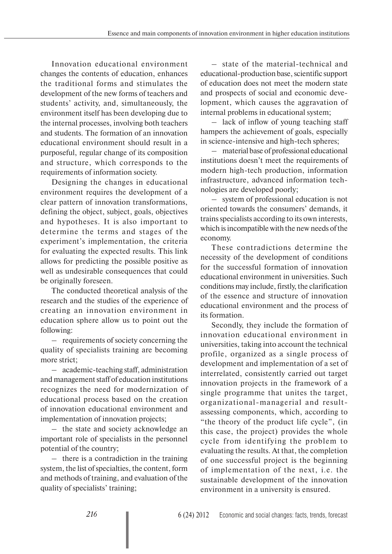Innovation educational environment changes the contents of education, enhances the traditional forms and stimulates the development of the new forms of teachers and students' activity, and, simultaneously, the environment itself has been developing due to the internal processes, involving both teachers and students. The formation of an innovation educational environment should result in a purposeful, regular change of its composition and structure, which corresponds to the requirements of information society.

Designing the changes in educational environment requires the development of a clear pattern of innovation transformations, defining the object, subject, goals, objectives and hypotheses. It is also important to determine the terms and stages of the experiment's implementation, the criteria for evaluating the expected results. This link allows for predicting the possible positive as well as undesirable consequences that could be originally foreseen.

The conducted theoretical analysis of the research and the studies of the experience of creating an innovation environment in education sphere allow us to point out the following:

– requirements of society concerning the quality of specialists training are becoming more strict;

– academic-teaching staff, administration and management staff of education institutions recognizes the need for modernization of educational process based on the creation of innovation educational environment and implementation of innovation projects;

– the state and society acknowledge an important role of specialists in the personnel potential of the country;

– there is a contradiction in the training system, the list of specialties, the content, form and methods of training, and evaluation of the quality of specialists' training;

– state of the material-technical and educational-production base, scientific support of education does not meet the modern state and prospects of social and economic development, which causes the aggravation of internal problems in educational system;

– lack of inflow of young teaching staff hampers the achievement of goals, especially in science-intensive and high-tech spheres;

– material base of professional educational institutions doesn't meet the requirements of modern high-tech production, information infrastructure, advanced information technologies are developed poorly;

– system of professional education is not oriented towards the consumers' demands, it trains specialists according to its own interests, which is incompatible with the new needs of the economy.

These contradictions determine the necessity of the development of conditions for the successful formation of innovation educational environment in universities. Such conditions may include, firstly, the clarification of the essence and structure of innovation educational environment and the process of its formation.

Secondly, they include the formation of innovation educational environment in universities, taking into account the technical profile, organized as a single process of development and implementation of a set of interrelated, consistently carried out target innovation projects in the framework of a single programme that unites the target, organizational-managerial and resultassessing components, which, according to "the theory of the product life cycle", (in this case, the project) provides the whole cycle from identifying the problem to evaluating the results. At that, the completion of one successful project is the beginning of implementation of the next, i.e. the sustainable development of the innovation environment in a university is ensured.